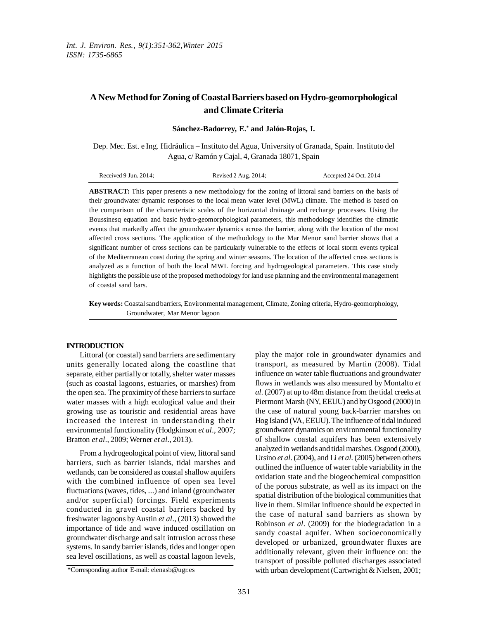# **A New Method forZoning of CoastalBarriersbased on Hydro-geomorphological and Climate Criteria**

Dep. Mec. Est. e Ing. Hidráulica – Instituto del Agua, University of Granada, Spain. Instituto del Agua, c/ Ramón yCajal, 4, Granada 18071, Spain

**ABSTRACT:** This paper presents a new methodology for the zoning of littoral sand barriers on the basis of their groundwater dynamic responses to the local mean water level (MWL) climate. The method is based on the comparison of the characteristic scales of the horizontal drainage and recharge processes. Using the Boussinesq equation and basic hydro-geomorphological parameters, this methodology identifies the climatic events that markedly affect the groundwater dynamics across the barrier, along with the location of the most affected cross sections. The application of the methodology to the Mar Menor sand barrier shows that a significant number of cross sections can be particularly vulnerable to the effects of local storm events typical of the Mediterranean coast during the spring and winter seasons. The location of the affected cross sections is analyzed as a function of both the local MWL forcing and hydrogeological parameters. This case study highlights the possible use of the proposed methodology for land use planning and the environmental management of coastal sand bars.

**Key words:** Coastalsand barriers, Environmentalmanagement, Climate, Zoning criteria, Hydro-geomorphology, Groundwater, Mar Menor lagoon

## **INTRODUCTION**

Littoral (or coastal) sand barriers are sedimentary units generally located along the coastline that separate, either partially or totally, shelter water masses (such as coastal lagoons, estuaries, or marshes) from the open sea. The proximity of these barriers to surface water masses with a high ecological value and their growing use as touristic and residential areas have increased the interest in understanding their environmental functionality (Hodgkinson *et al*., 2007; Bratton *et al*., 2009; Werner *et al*., 2013).

From a hydrogeological point of view, littoralsand barriers, such as barrier islands, tidal marshes and wetlands, can be considered as coastal shallow aquifers with the combined influence of open sea level fluctuations(waves, tides, ...) and inland (groundwater and/or superficial) forcings. Field experiments conducted in gravel coastal barriers backed by freshwater lagoons by Austin *et al.*, (2013) showed the importance of tide and wave induced oscillation on groundwater discharge and salt intrusion across these systems. In sandy barrier islands, tides and longer open sea level oscillations, as well as coastal lagoon levels, play the major role in groundwater dynamics and transport, as measured by Martin (2008). Tidal influence on water table fluctuations and groundwater flows in wetlands was also measured by Montalto *et al*. (2007) at up to 48m distance from the tidal creeks at Piermont Marsh (NY, EEUU) and by Osgood (2000) in the case of natural young back-barrier marshes on Hog Island (VA, EEUU). The influence of tidal induced groundwater dynamics on environmental functionality of shallow coastal aquifers has been extensively analyzed in wetlands and tidalmarshes. Osgood (2000), Ursino *et al*. (2004), and Li *et al*. (2005) between others outlined the influence of water table variability in the oxidation state and the biogeochemical composition of the porous substrate, as well as its impact on the spatial distribution of the biological communities that live in them. Similar influence should be expected in the case of natural sand barriers as shown by Robinson *et al*. (2009) for the biodegradation in a sandy coastal aquifer. When socioeconomically developed or urbanized, groundwater fluxes are additionally relevant, given their influence on: the transport of possible polluted discharges associated with urban development (Cartwright & Nielsen, 2001;

\*Corresponding author E-mail: elenasb@ugr.es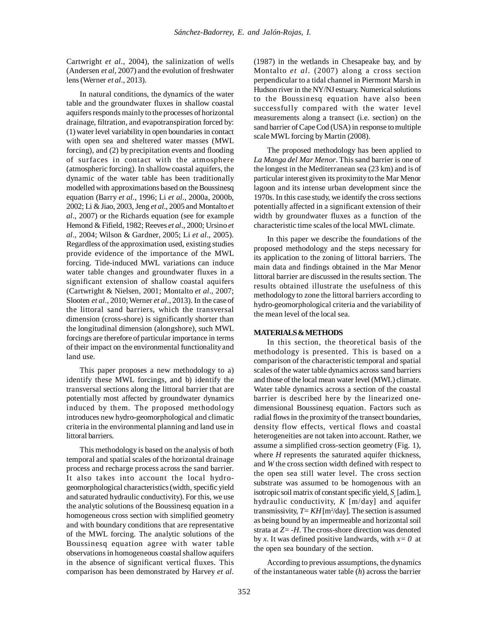Cartwright *et al*., 2004), the salinization of wells (Andersen *et al*, 2007) and the evolution of freshwater lens(Werner *et al*., 2013).

In natural conditions, the dynamics of the water table and the groundwater fluxes in shallow coastal aquifers responds mainly to the processes of horizontal drainage, filtration, and evapotranspiration forced by: (1) water level variabilityin open boundaries in contact with open sea and sheltered water masses (MWL forcing), and (2) by precipitation events and flooding of surfaces in contact with the atmosphere (atmospheric forcing). In shallowcoastal aquifers, the dynamic of the water table has been traditionally modelled with approximations based on the Boussinesq equation (Barry *et al*., 1996; Li *et al*., 2000a, 2000b, 2002; Li &Jiao, 2003, Jeng *et al*., 2005 and Montalto *et al*., 2007) or the Richards equation (see for example Hemond & Fifield, 1982; Reeves *et al*., 2000; Ursino *et al*., 2004; Wilson & Gardner, 2005; Li *et al*., 2005). Regardless of the approximation used, existing studies provide evidence of the importance of the MWL forcing. Tide-induced MWL variations can induce water table changes and groundwater fluxes in a significant extension of shallow coastal aquifers (Cartwright & Nielsen, 2001; Montalto *et al*., 2007; Slooten *et al.*, 2010; Werner *et al.*, 2013). In the case of the littoral sand barriers, which the transversal dimension (cross-shore) is significantly shorter than the longitudinal dimension (alongshore), such MWL forcings are therefore of particular importance in terms of their impact on the environmental functionalityand land use.

This paper proposes a new methodology to a) identify these MWL forcings, and b) identify the transversal sections along the littoral barrier that are potentially most affected by groundwater dynamics induced by them. The proposed methodology introduces new hydro-geomorphological and climatic criteria in the environmental planning and land use in littoral barriers.

This methodology is based on the analysis of both temporal and spatial scales of the horizontal drainage process and recharge process across the sand barrier. It also takes into account the local hydrogeomorphological characteristics(width, specific yield and saturated hydraulic conductivity). For this, we use the analytic solutions of the Boussinesq equation in a homogeneous cross section with simplified geometry and with boundary conditions that are representative of the MWL forcing. The analytic solutions of the Boussinesq equation agree with water table observations in homogeneous coastal shallow aquifers in the absence of significant vertical fluxes. This comparison has been demonstrated by Harvey *et al*. (1987) in the wetlands in Chesapeake bay, and by Montalto *et al*. (2007) along a cross section perpendicular to a tidal channel in Piermont Marsh in Hudson river in the NY/NJ estuary. Numerical solutions to the Boussinesq equation have also been successfully compared with the water level measurements along a transect (i.e. section) on the sand barrier of Cape Cod (USA) in response to multiple scale MWL forcing by Martin (2008).

The proposed methodology has been applied to *La Manga del Mar Menor*. Thissand barrier is one of the longest in the Mediterranean sea (23 km) and is of particular interest given its proximity to the Mar Menor lagoon and its intense urban development since the 1970s. In this case study, we identify the cross sections potentially affected in a significant extension of their width by groundwater fluxes as a function of the characteristic time scales of the local MWL climate.

In this paper we describe the foundations of the proposed methodology and the steps necessary for its application to the zoning of littoral barriers. The main data and findings obtained in the Mar Menor littoral barrier are discussed in the results section. The results obtained illustrate the usefulness of this methodology to zone the littoral barriers according to hydro-geomorphological criteria and the variability of the mean level of the local sea.

## **MATERIALS&METHODS**

In this section, the theoretical basis of the methodology is presented. This is based on a comparison of the characteristic temporal and spatial scales of the water table dynamics across sand barriers and those of the local mean water level (MWL) climate. Water table dynamics across a section of the coastal barrier is described here by the linearized onedimensional Boussinesq equation. Factors such as radial flows in the proximity of the transect boundaries, density flow effects, vertical flows and coastal heterogeneities are not taken into account. Rather, we assume a simplified cross-section geometry (Fig. 1), where *H* represents the saturated aquifer thickness, and *W* the cross section width defined with respect to the open sea still water level. The cross section substrate was assumed to be homogenous with an isotropic soil matrix of constant specific yield, *S*<sub>*y*</sub> [adim.], hydraulic conductivity, *K* [m/day] and aquifer transmissivity, *T=KH*[m<sup>2</sup> /day]. The section is assumed as being bound by an impermeable and horizontal soil strata at *Z=-H*. The cross-shore direction was denoted by *x*. It was defined positive landwards, with  $x=0$  at the open sea boundary of the section.

According to previous assumptions, the dynamics of the instantaneous water table (*h*) across the barrier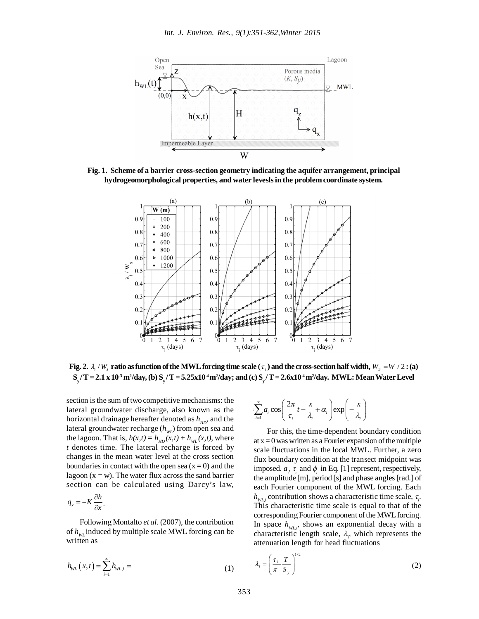

**Fig. 1. Scheme of a barrier cross-section geometry indicating the aquifer arrangement, principal hydrogeomorphological properties, and water leveslsinthe problem coordinate system.**



Fig. 2.  $\lambda_i$  /  $W_s$  ratio as function of the MWL forcing time scale (  $\tau_i$  ) and the cross-section half width,  $W_s$  = W / 2 : (a)  $\rm S_y/T$  = 2.1 x 10<sup>.3</sup> m²/day, (b)  $\rm S_y/T$  = 5.25x10<sup>4</sup> m²/day; and (c)  $\rm S_y/T$  = 2.6x10<sup>4</sup> m²/day. MWL: Mean Water Level

section is the sum of two competitive mechanisms: the  $\qquad \circ$ lateral groundwater discharge, also known as the  $\sum a_i \cos \left( \frac{2h}{\tau} t - \frac{\lambda}{\lambda} + \alpha_i \right)$  exp horizontal drainage hereafter denoted as  $h_{HD}$ , and the  $\qquad i=1$ lateral groundwater recharge ( $h_{_{\it WL}}$ ) from open sea and the lagoon. That is,  $h(x,t) = h_{HD}(x,t) + h_{WL}(x,t)$ , where *t* denotes time. The lateral recharge is forced by changes in the mean water level at the cross section boundaries in contact with the open sea  $(x = 0)$  and the lagoon  $(x = w)$ . The water flux across the sand barrier section can be calculated using Darcy's law,

$$
q_{x}=-K\frac{\partial h}{\partial x}.
$$

 $\mathbb{R}^2$ 

Following Montalto *et al*. (2007), the contribution of *hWL* induced by multiple scale MWL forcing can be written as

$$
h_{\text{WL}}(x,t) = \sum_{i=1}^{\infty} h_{\text{WL},i} = (1)
$$

s: the  
d the 
$$
\sum_{i=1}^{\infty} a_i \cos \left( \frac{2\pi}{\tau_i} t - \frac{x}{\lambda_i} + \alpha_i \right) \exp \left( -\frac{x}{\lambda_i} \right)
$$

For this, the time-dependent boundary condition at  $x = 0$  was written as a Fourier expansion of the multiple scale fluctuations in the local MWL. Further, a zero flux boundary condition at the transect midpoint was imposed.  $a_i$ ,  $\tau_i$  and  $\phi_i$  in Eq. [1] represent, respectively, the amplitude  $[m]$ , period  $[s]$  and phase angles  $[rad.]$  of each Fourier component of the MWL forcing. Each  $h_{w_{L,i}}$  contribution shows a characteristic time scale,  $\tau_i$ . This characteristic time scale is equal to that of the corresponding Fourier component of the MWL forcing. In space  $h_{WL,i}$ , shows an exponential decay with a characteristic length scale,  $\lambda_i$ , which represents the attenuation length for head fluctuations

$$
\lambda_i = \left(\frac{\tau_i}{\pi} \frac{T}{S_y}\right)^{1/2} \tag{2}
$$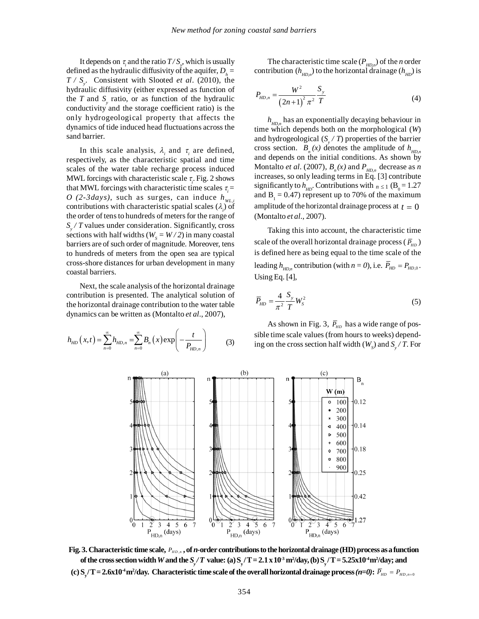It depends on  $\tau_i$  and the ratio  $T/S_{y}$ , which is usually defined as the hydraulic diffusivity of the aquifer,  $D_h =$ *T / S<sup>y</sup>* . Consistent with Slooted *et al*. (2010), the hydraulic diffusivity (either expressed as function of the *T* and  $S<sub>y</sub>$  ratio, or as function of the hydraulic conductivity and the storage coefficient ratio) is the only hydrogeological property that affects the dynamics of tide induced head fluctuations across the sand barrier.

In this scale analysis,  $\lambda_i$  and  $\tau_i$  are defined, respectively, as the characteristic spatial and time scales of the water table recharge process induced MWL forcings with characteristic scale  $\tau_i$ . Fig. 2 shows that MWL forcings with characteristic time scales  $\tau_i$  =  $O$  (2-3*days*), such as surges, can induce  $h_{w_l}$ contributions with characteristic spatial scales  $(\lambda_i)$  of the order of tens to hundreds of meters for the range of *Sy / T* values under consideration. Significantly, cross sections with half widths ( $W_s = W/2$ ) in many coastal barriers are of such order of magnitude. Moreover, tens to hundreds of meters from the open sea are typical cross-shore distances for urban development in many coastal barriers.

Next, the scale analysis of the horizontal drainage contribution is presented. The analytical solution of the horizontal drainage contribution to the water table dynamics can be written as (Montalto *et al*., 2007),

$$
h_{HD}\left(x,t\right) = \sum_{n=0}^{\infty} h_{HD,n} = \sum_{n=0}^{\infty} B_n\left(x\right) \exp\left(-\frac{t}{P_{HD,n}}\right) \tag{3}
$$

The characteristic time scale  $(P_{HD,n})$  of the *n* order contribution ( $h_{HD,n}$ ) to the horizontal drainage ( $h_{HD}$ ) is

$$
P_{HD,n} = \frac{W^2}{(2n+1)^2 \pi^2} \frac{S_y}{T}
$$
 (4)

*hHD,n* has an exponentially decaying behaviour in time which depends both on the morphological (*W*) and hydrogeological (*S<sup>y</sup> / T*) properties of the barrier cross section.  $B_n(x)$  denotes the amplitude of  $h_{HD,n}$ and depends on the initial conditions. As shown by Montalto *et al.* (2007),  $B_n(x)$  and  $P_{HD,n}$  decrease as *n* increases, so only leading terms in Eq. [3] contribute significantly to  $h_{HD}$ . Contributions with  $n \le 1$  (B<sub>0</sub> = 1.27) and  $B_1 = 0.47$ ) represent up to 70% of the maximum amplitude of the horizontal drainage process at  $t = 0$ (Montalto *et al*., 2007).

Taking this into account, the characteristic time scale of the overall horizontal drainage process (  $\overline{P}_{\!\scriptscriptstyle H D}$  ) is defined here as being equal to the time scale of the leading  $h_{HD,n}$  contribution (with  $n = 0$ ), i.e.  $P_{HD} = P_{HD,0}$ . Using Eq. [4],

$$
\overline{P}_{HD} = \frac{4}{\pi^2} \frac{S_y}{T} W_s^2 \tag{5}
$$

As shown in Fig. 3,  $\bar{P}_{HD}$  has a wide range of possible time scale values (from hours to weeks) depending on the cross section half width  $(W<sub>S</sub>)$  and  $S<sub>y</sub> / T$ . For



Fig. 3. Characteristic time scale,  $\,P_{H D,n}$  , of  $n$ -order contributions to the horizontal drainage (HD) process as a function of the cross section width W and the  $S_y/T$  value: (a)  $S_y/T = 2.1 \times 10^3 \text{ m}^2/\text{day}$ , (b)  $S_y/T = 5.25 \times 10^4 \text{ m}^2/\text{day}$ ; and (c)  $S_y/T$  = 2.6x10<sup>4</sup> m<sup>2</sup>/day. Characteristic time scale of the overall horizontal drainage process (*n=0*):  $\overline{P}_{HD}=P_{HD,n=0}$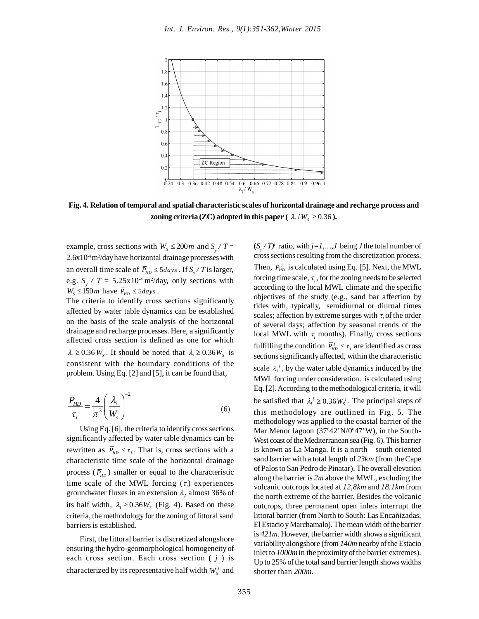

**Fig. 4. Relation of temporal and spatial characteristic scales of horizontal drainage and recharge process and zoning criteria** (**ZC**) **adopted in this paper** ( $\lambda_i / W_s \geq 0.36$ ).

example, cross sections with  $W_s \le 200$ *m* and  $S_y / T =$  $2.6x10<sup>4</sup>m<sup>2</sup>/day$  have horizontal drainage processes with an overall time scale of  $\overline{P}_{HD} \le 5 \, days$  . If  $S_y / T$  is larger, e.g.  $S_y / T = 5.25 \times 10^{-4} \text{ m}^2/\text{day}$ , only sections with  $W_s \le 150$ *m* have  $\overline{P}_{HD} \le 5 \, days$ .

The criteria to identify cross sections significantly affected by water table dynamics can be established on the basis of the scale analysis of the horizontal drainage and recharge processes. Here, a significantly affected cross section is defined as one for which  $\lambda_i \geq 0.36 W_s$ . It should be noted that  $\lambda_i \geq 0.36 W_s$  is consistent with the boundary conditions of the problem. Using Eq. [2] and [5], it can be found that,

$$
\frac{\overline{P}_{HD}}{\tau_i} = \frac{4}{\pi^3} \left( \frac{\lambda_i}{W_s} \right)^{-2} \tag{6}
$$

Using Eq.  $[6]$ , the criteria to identify cross sections significantly affected by water table dynamics can be rewritten as  $\overline{P}_{HD} \le \tau_i$ . That is, cross sections with a characteristic time scale of the horizontal drainage process ( $\overline{P}_{HD}$ ) smaller or equal to the characteristic time scale of the MWL forcing  $(\tau_i)$  experiences groundwater fluxes in an extension  $\lambda_i$ , almost 36% of its half width,  $\lambda_i \geq 0.36 W_s$  (Fig. 4). Based on these criteria, the methodology for the zoning of littoralsand barriers is established.

First, the littoral barrier is discretized alongshore ensuring the hydro-geomorphological homogeneity of each cross section. Each cross section ( *j* ) is characterized by its representative half width  $W^j_s$  and

 $(S_y/T)^j$  ratio, with  $j=1,...,J$  being *J* the total number of cross sections resulting from the discretization process. Then,  $\overline{P}_{HD}^{j}$  is calculated using Eq. [5]. Next, the MWL

forcing time scale,  $\tau$ <sub>i</sub>, for the zoning needs to be selected according to the local MWL climate and the specific objectives of the study (e.g., sand bar affection by tides with, typically, semidiurnal or diurnal times scales; affection by extreme surges with  $\tau$ <sub>i</sub> of the order of several days; affection by seasonal trends of the local MWL with  $\tau$ <sub>i</sub> months). Finally, cross sections fulfilling the condition  $\overline{P}_{HD}^j \leq \tau_i$  are identified as cross sections significantly affected, within the characteristic scale  $\lambda_i^j$ , by the water table dynamics induced by the MWL forcing under consideration. is calculated using Eq. [2].According to themethodological criteria, it will be satisfied that  $\lambda_i^j \geq 0.36 W_s^j$ . The principal steps of this methodology are outlined in Fig. 5. The methodology was applied to the coastal barrier of the Mar Menor lagoon (37°42'N/0°47'W), in the South-West coast of the Mediterranean sea (Fig. 6). This barrier is known as La Manga. It is a north – south oriented sand barrier with a total length of *23km* (from theCape of Palosto San Pedro de Pinatar). The overall elevation along the barrier is *2m* above the MWL, excluding the volcanic outcrops located at *12,8km* and *18.1km* from the north extreme of the barrier. Besides the volcanic outcrops, three permanent open inlets interrupt the littoral barrier (from North to South: Las Encañizadas, El Estacio y Marchamalo). The mean width of the barrier is *421m.* However, the barrier width shows a significant variability alongshore (from  $140m$  nearby of the Estacio inlet to *1000m* in the proximity of the barrier extremes). Up to 25% of the total sand barrier length shows widths shorter than *200m.*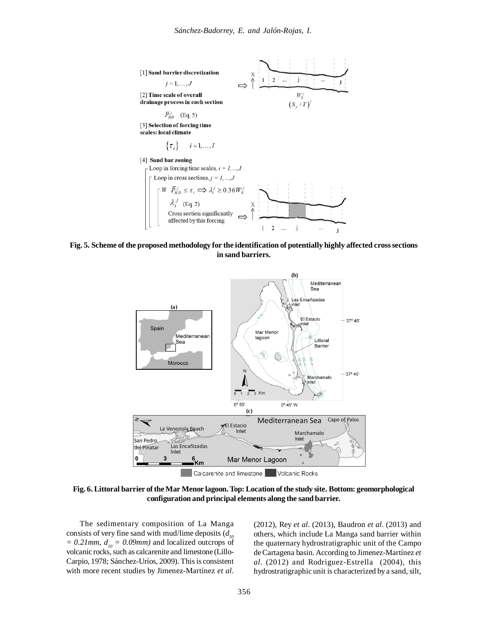

**Fig. 5. Scheme of the proposed methodology for the identification of potentially highly affected crosssections in sand barriers.**



**Fig. 6. Littoral barrier of theMar Menor lagoon.Top: Location of the study site. Bottom: geomorphological configuration and principal elements along the sand barrier.**

The sedimentary composition of La Manga consists of very fine sand with mud/lime deposits  $(d_{50}$  $= 0.21$ *mm,*  $d_{10} = 0.09$ *mm*) and localized outcrops of volcanic rocks, such as calcarenite and limestone (Lillo-Carpio, 1978; Sánchez-Uríos, 2009). Thisis consistent with more recent studies by Jimenez-Martínez *et al*.

(2012), Rey *et al*. (2013), Baudron *et al*. (2013) and others, which include La Manga sand barrier within the quaternary hydrostratigraphic unit of the Campo deCartagena basin. According to Jimenez-Martínez *et al*. (2012) and Rodriguez-Estrella (2004), this hydrostratigraphic unit is characterized by a sand, silt,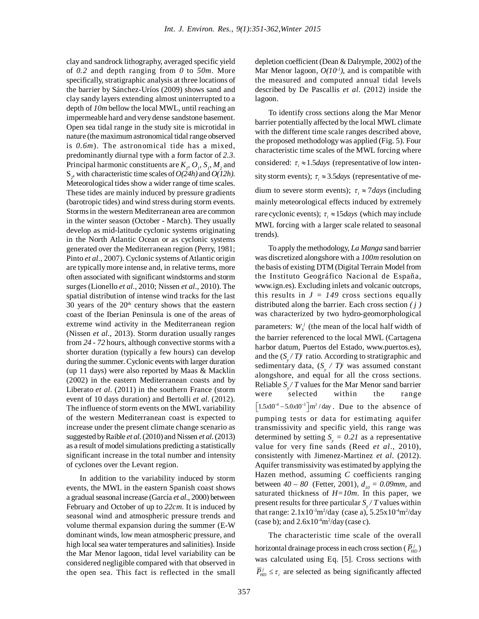clay and sandrock lithography, averaged specific yield of *0.2* and depth ranging from *0* to *50m*. More specifically, stratigraphic analysis at three locations of the barrier by Sánchez-Uríos (2009) shows sand and clay sandy layers extending almost uninterrupted to a depth of *10m* bellow the local MWL, until reaching an impermeable hard and verydense sandstone basement. Open sea tidal range in the study site is microtidal in nature (the maximum astronomical tidal range observed is *0.6m*). The astronomical tide has a mixed, predominantly diurnal type with a form factor of *2.3*. Principal harmonic constituents are  $K_p$ ,  $O_p$ ,  $S_p$ ,  $M_2$  and S*2* , with characteristic time scales of*O(24h)* and *O(12h)*. Meteorological tides show a wider range of time scales. These tides are mainly induced by pressure gradients (barotropic tides) and wind stress during storm events. Stormsin the western Mediterranean area are common in the winter season (October - March). They usually develop as mid-latitude cyclonic systems originating in the North Atlantic Ocean or as cyclonic systems generated over the Mediterranean region (Perry, 1981; Pinto *et al.*, 2007). Cyclonic systems of Atlantic origin are typicallymore intense and, in relative terms, more often associated with significant windstorms and storm surges(Lionello *et al*., 2010; Nissen *et al*., 2010). The spatial distribution of intense wind tracks for the last 30 years of the  $20<sup>th</sup>$  century shows that the eastern coast of the Iberian Peninsula is one of the areas of extreme wind activity in the Mediterranean region (Nissen *et al*., 2013). Storm duration usually ranges from *24 - 72* hours, although convective storms with a shorter duration (typically a few hours) can develop during the summer.Cyclonic events with larger duration (up 11 days) were also reported by Maas & Macklin (2002) in the eastern Mediterranean coasts and by Liberato *et al*. (2011) in the southern France (storm event of 10 days duration) and Bertolli *et al*. (2012). The influence of storm events on the MWL variability of the western Mediterranean coast is expected to increase under the present climate change scenario as suggested byRaible *et al*.(2010) and Nissen *et al*.(2013) as a result of model simulations predicting a statistically significant increase in the total number and intensity of cyclones over the Levant region.

In addition to the variability induced by storm events, the MWL in the eastern Spanish coast shows a gradual seasonal increase (García *et al*., 2000) between February and October of up to *22cm*. It is induced by seasonal wind and atmospheric pressure trends and volume thermal expansion during the summer (E-W dominant winds, low mean atmospheric pressure, and high local sea water temperatures and salinities). Inside the Mar Menor lagoon, tidal level variability can be considered negligible compared with that observed in the open sea. This fact is reflected in the small

depletion coefficient (Dean  $&$  Dalrymple, 2002) of the Mar Menor lagoon,  $O(10<sup>-1</sup>)$ , and is compatible with the measured and computed annual tidal levels described by De Pascallis *et al*. (2012) inside the lagoon.

To identify cross sections along the Mar Menor barrier potentially affected by the local MWL climate with the different time scale ranges described above, the proposed methodologywas applied (Fig. 5). Four characteristic time scales of the MWL forcing where considered:  $\tau_i \approx 1.5 \text{ days}$  (representative of low intensity storm events);  $\tau_i \approx 3.5 \text{ days}$  (representative of medium to severe storm events);  $\tau_i \approx 7 \, days$  (including mainly meteorological effects induced by extremely rare cyclonic events);  $\tau_i \approx 15 \text{ days}$  (which may include MWL forcing with a larger scale related to seasonal trends).

To apply the methodology, *La Manga* sand barrier was discretized alongshore with a *100m* resolution on the basis of existing DTM (Digital Terrain Model from the Instituto Geográfico Nacional de España, www.ign.es). Excluding inlets and volcanic outcrops, this results in  $J = 149$  cross sections equally distributed along the barrier. Each cross section *( j )* was characterized by two hydro-geomorphological parameters:  $W_s^j$  (the mean of the local half width of the barrier referenced to the local MWL (Cartagena harbor datum, Puertos del Estado, www.puertos.es), and the  $(S_y/T)$  ratio. According to stratigraphic and sedimentary data,  $(S_y / T)$ <sup>*y*</sup> was assumed constant alongshore, and equal for all the cross sections. Reliable *S<sup>y</sup> / T* values for the Mar Menor sand barrier were selected within the range  $\left[1.5x10^{-4} - 5.0x10^{-3}\right]$  m<sup>2</sup>/day. Due to the absence of pumping tests or data for estimating aquifer transmissivity and specific yield, this range was determined by setting  $S_y = 0.21$  as a representative value for very fine sands (Reed *et al*., 2010), consistently with Jimenez-Martinez *et al*. (2012). Aquifer transmissivity was estimated by applying the Hazen method, assuming *C* coefficients ranging between  $40 - 80$  (Fetter, 2001),  $d_{10} = 0.09$ mm, and saturated thickness of *H=10m*. In this paper, we present results for three particular *S<sup>y</sup> / T* values within that range:  $2.1x10^{3}m^{2}/day$  (case a),  $5.25x10^{4}m^{2}/day$ (case b); and  $2.6x10^{4}m^{2}/day$  (case c).

The characteristic time scale of the overall horizontal drainage process in each cross section (  $\overline{P}_{HD}^j$  ) was calculated using Eq. [5]. Cross sections with  $\overline{P}_{HD}^{j} \leq \tau_i$  are selected as being significantly affected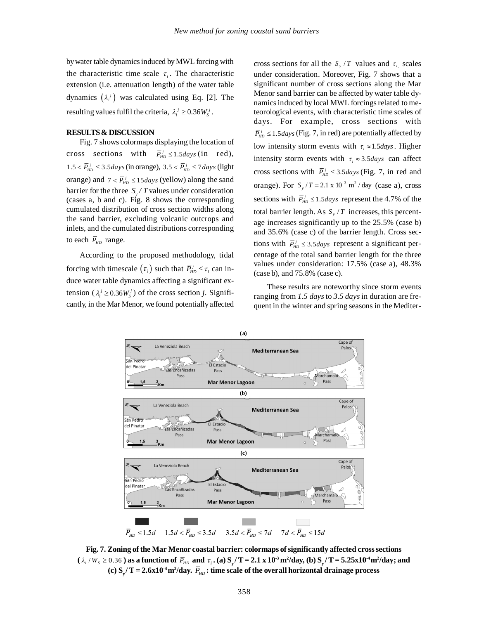bywater table dynamicsinduced byMWL forcing with the characteristic time scale  $\tau_i$ . The characteristic extension (i.e. attenuation length) of the water table dynamics  $(\lambda_i^j)$  was calculated using Eq. [2]. The resulting values fulfil the criteria,  $\lambda_i^j \geq 0.36 W_s^j$ .

# **RESULTS& DISCUSSION**

Fig. 7 shows colormaps displaying the location of cross sections with  $\overline{P}_{HD}^j \le 1.5 \text{ days}$  (in red),  $1.5 < \overline{P}_{HD}^j \leq 3.5 \text{ days}$  (in orange),  $3.5 < \overline{P}_{HD}^j \leq 7 \text{ days}$  (light orange) and  $7 < \overline{P}_{HD}^j \le 15 \frac{days}{y}$  (yellow) along the sand barrier for the three *S<sup>y</sup> / T* values under consideration (cases a, b and c). Fig. 8 shows the corresponding cumulated distribution of cross section widths along the sand barrier, excluding volcanic outcrops and inlets, and the cumulated distributions corresponding to each  $\overline{P}_{HD}$  range.

According to the proposed methodology, tidal forcing with timescale  $(\tau_i)$  such that  $\overline{P}_{HD}^j \leq \tau_i$  can induce water table dynamics affecting a significant extension  $(\lambda_i^j \ge 0.36W_s^j)$  of the cross section *j*. Significantly, in the Mar Menor, we found potentiallyaffected

cross sections for all the  $S_y / T$  values and  $\tau_{i}$  scales under consideration. Moreover, Fig. 7 shows that a significant number of cross sections along the Mar Menor sand barrier can be affected by water table dynamics induced by local MWL forcings related to meteorological events, with characteristic time scales of days. For example, cross sections with  $\overline{P}_{HD}^j \leq 1.5 \text{ days}$  (Fig. 7, in red) are potentially affected by low intensity storm events with  $\tau_i \approx 1.5 \text{ days}$ . Higher intensity storm events with  $\tau_i \approx 3.5 \text{ days}$  can affect cross sections with  $\overline{P}_{HD}^j \leq 3.5 \frac{days}{y}$  (Fig. 7, in red and orange). For  $S_y/T = 2.1 \times 10^{-3} \text{ m}^2/\text{day}$  (case a), cross sections with  $\overline{P}_{HD}^{j} \le 1.5 days$  represent the 4.7% of the total barrier length. As  $S_y / T$  increases, this percentage increases significantly up to the 25.5% (case b) and 35.6% (case c) of the barrier length. Cross sections with  $\overline{P}_{HD}^{j} \leq 3.5 \text{ days}$  represent a significant percentage of the total sand barrier length for the three values under consideration: 17.5% (case a), 48.3% (case b), and 75.8% (case c).

These results are noteworthy since storm events ranging from *1.5 days*to *3.5 days* in duration are frequent in the winter and spring seasons in the Mediter-



**Fig. 7. Zoning of the Mar Menor coastal barrier: colormaps ofsignificantly affected crosssections** ( $\lambda_i$  /W<sub>s</sub>  $\geq$  0.36 ) as a function of  $\bar{P}_{HD}$  and  $\tau_i$  . (a)  $S_y/T = 2.1$  x  $10^3$  m<sup>2</sup>/day, (b)  $S_y/T = 5.25x10^4$  m<sup>2</sup>/day; and (c)  $\rm S_y/T$  = 2.6x10<sup>-4</sup> m<sup>2</sup>/day.  $\rm \bar{P}_{HD}$  : time scale of the overall horizontal drainage process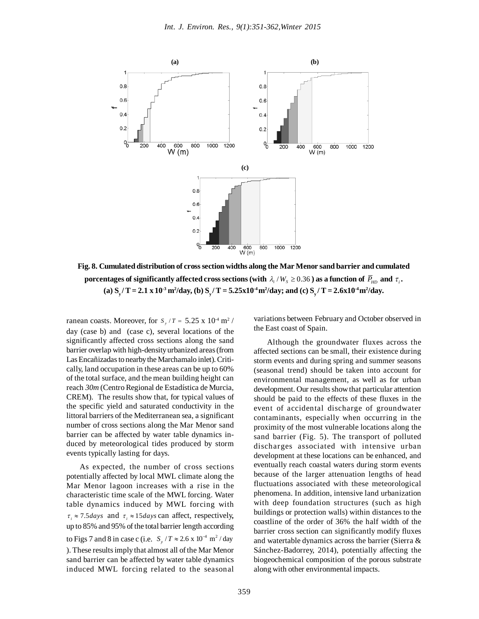

**Fig. 8. Cumulated distribution of crosssection widths along the Mar Menor sand barrier and cumulated** porcentages of significantly affected cross sections (with  $\,\lambda_i$  /  $W_{_S}\geq 0.36$  ) as a function of  $\,\overline{P}_{HD}\,$  and  $\,\tau_i$ . (a)  $S_y/T = 2.1 \times 10^{3} \text{ m}^{2}/\text{day}$ , (b)  $S_y/T = 5.25 \times 10^{4} \text{ m}^{2}/\text{day}$ ; and (c)  $S_y/T = 2.6 \times 10^{4} \text{ m}^{2}/\text{day}$ .

ranean coasts. Moreover, for  $S_y / T = 5.25 \times 10^4 \text{ m}^2$ / day (case b) and (case c), several locations of the significantly affected cross sections along the sand barrier overlap with high-densityurbanized areas(from Las Encañizadas to nearby the Marchamalo inlet). Critically, land occupation in these areas can be up to 60% of the total surface, and the mean building height can reach *30m* (Centro Regional de Estadística de Murcia, CREM). The results show that, for typical values of the specific yield and saturated conductivity in the littoral barriers of the Mediterranean sea, a significant number of cross sections along the Mar Menor sand barrier can be affected by water table dynamics induced by meteorological tides produced by storm events typically lasting for days.

As expected, the number of cross sections potentially affected by local MWL climate along the Mar Menor lagoon increases with a rise in the characteristic time scale of the MWL forcing. Water table dynamics induced by MWL forcing with  $\tau_i \approx 7.5 \text{ days}$  and  $\tau_i \approx 15 \text{ days}$  can affect, respectively, up to 85% and 95% of the total barrier length according to Figs 7 and 8 in case c (i.e.  $S_y / T \approx 2.6 \times 10^{-4} \text{ m}^2 / \text{day}$ ). These results imply that almost all of the Mar Menor sand barrier can be affected by water table dynamics induced MWL forcing related to the seasonal

variations between February and October observed in the East coast of Spain.

Although the groundwater fluxes across the affected sections can be small, their existence during storm events and during spring and summer seasons (seasonal trend) should be taken into account for environmental management, as well as for urban development. Our results show that particular attention should be paid to the effects of these fluxes in the event of accidental discharge of groundwater contaminants, especially when occurring in the proximity of the most vulnerable locations along the sand barrier (Fig. 5). The transport of polluted discharges associated with intensive urban development at these locations can be enhanced, and eventually reach coastal waters during storm events because of the larger attenuation lengths of head fluctuations associated with these meteorological phenomena. In addition, intensive land urbanization with deep foundation structures (such as high buildings or protection walls) within distances to the coastline of the order of 36% the half width of the barrier cross section can significantly modify fluxes and watertable dynamics across the barrier (Sierra & Sánchez-Badorrey, 2014), potentially affecting the biogeochemical composition of the porous substrate along with other environmental impacts.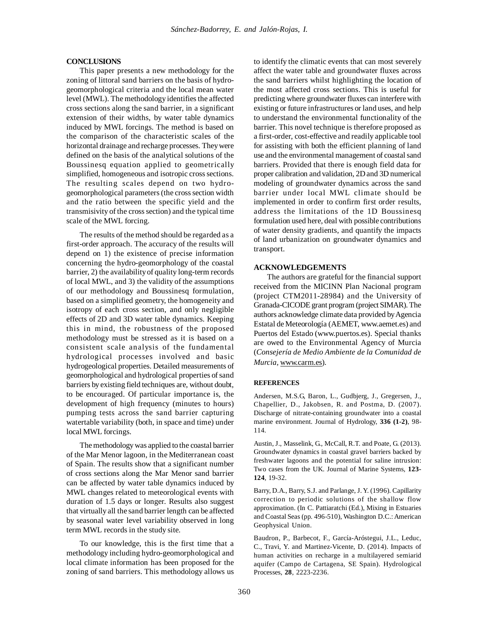## **CONCLUSIONS**

This paper presents a new methodology for the zoning of littoral sand barriers on the basis of hydrogeomorphological criteria and the local mean water level (MWL). The methodology identifies the affected cross sections along the sand barrier, in a significant extension of their widths, by water table dynamics induced by MWL forcings. The method is based on the comparison of the characteristic scales of the horizontal drainage and recharge processes. Theywere defined on the basis of the analytical solutions of the Boussinesq equation applied to geometrically simplified, homogeneous and isotropic cross sections. The resulting scales depend on two hydrogeomorphological parameters (the cross section width and the ratio between the specific yield and the transmisivity of the crosssection) and the typical time scale of the MWL forcing.

The results of the method should be regarded as a first-order approach. The accuracy of the results will depend on 1) the existence of precise information concerning the hydro-geomorphology of the coastal barrier, 2) the availabilityof quality long-term records of local MWL, and 3) the validity of the assumptions of our methodology and Boussinesq formulation, based on a simplified geometry, the homogeneity and isotropy of each cross section, and only negligible effects of 2D and 3D water table dynamics. Keeping this in mind, the robustness of the proposed methodology must be stressed as it is based on a consistent scale analysis of the fundamental hydrological processes involved and basic hydrogeological properties. Detailed measurements of geomorphological and hydrological properties of sand barriers by existing field techniques are, without doubt, to be encouraged. Of particular importance is, the development of high frequency (minutes to hours) pumping tests across the sand barrier capturing watertable variability (both, in space and time) under local MWL forcings.

The methodology was applied to the coastal barrier of the Mar Menor lagoon, in the Mediterranean coast of Spain. The results show that a significant number of cross sections along the Mar Menor sand barrier can be affected by water table dynamics induced by MWL changes related to meteorological events with duration of 1.5 days or longer. Results also suggest that virtually all the sand barrier length can be affected by seasonal water level variability observed in long term MWL records in the study site.

To our knowledge, this is the first time that a methodology including hydro-geomorphological and local climate information has been proposed for the zoning of sand barriers. This methodology allows us to identify the climatic events that can most severely affect the water table and groundwater fluxes across the sand barriers whilst highlighting the location of the most affected cross sections. This is useful for predicting where groundwater fluxes can interfere with existing or future infrastructures or land uses, and help to understand the environmental functionality of the barrier. This novel technique is therefore proposed as a first-order, cost-effective and readily applicable tool for assisting with both the efficient planning of land use and the environmental management of coastalsand barriers. Provided that there is enough field data for proper calibration and validation, 2Dand 3D numerical modeling of groundwater dynamics across the sand barrier under local MWL climate should be implemented in order to confirm first order results, address the limitations of the 1D Boussinesq formulation used here, deal with possible contributions of water density gradients, and quantify the impacts of land urbanization on groundwater dynamics and transport.

## **ACKNOWLEDGEMENTS**

The authors are grateful for the financial support received from the MICINN Plan Nacional program (project CTM2011-28984) and the University of Granada-CICODEgrant program (project SIMAR). The authors acknowledge climate data provided byAgencia Estatal de Meteorología (AEMET, www.aemet.es) and Puertos del Estado (www.puertos.es). Special thanks are owed to the Environmental Agency of Murcia (*Consejería de Medio Ambiente de la Comunidad de Murcia,* www.carm.es).

#### **REFERENCES**

Andersen, M.S.G, Baron, L., Gudbjerg, J., Gregersen, J., Chapellier, D., Jakobsen, R. and Postma, D. (2007). Discharge of nitrate-containing groundwater into a coastal marine environment. Journal of Hydrology, **336 (1-2)**, 98- 114.

Austin, J., Masselink, G., McCall, R.T. and Poate, G. (2013). Groundwater dynamics in coastal gravel barriers backed by freshwater lagoons and the potential for saline intrusion: Two cases from the UK. Journal of Marine Systems, **123- 124**, 19-32.

Barry, D.A., Barry, S.J. and Parlange, J. Y. (1996). Capillarity correction to periodic solutions of the shallow flow approximation. (In C. Pattiaratchi (Ed.), Mixing in Estuaries and Coastal Seas (pp. 496-510), Washington D.C.: American Geophysical Union.

Baudron, P., Barbecot, F., García-Aróstegui, J.L., Leduc, C., Travi, Y. and Martinez-Vicente, D. (2014). Impacts of human activities on recharge in a multilayered semiarid aquifer (Campo de Cartagena, SE Spain). Hydrological Processes, **28**, 2223-2236.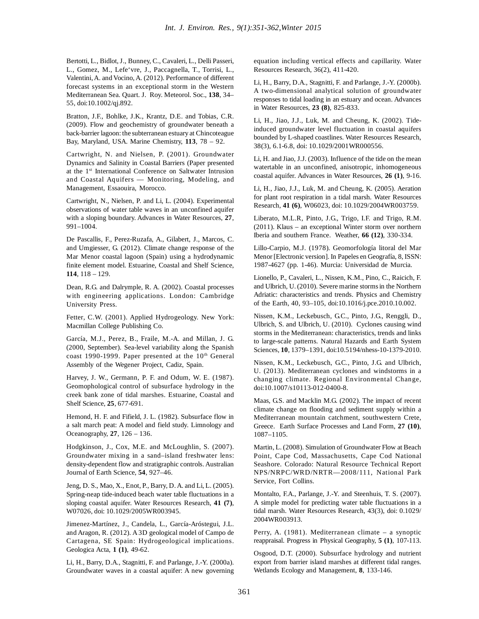Bertotti, L., Bidlot,J., Bunney, C., Cavaleri, L., Delli Passeri, L., Gomez, M., Lefe'vre, J., Paccagnella, T., Torrisi, L., Valentini,A. and Vocino, A. (2012). Performance of different forecast systems in an exceptional storm in the Western Mediterranean Sea. Quart. J. Roy. Meteorol. Soc., **138**, 34– 55, doi:10.1002/qj.892.

Bratton, J.F., Bohlke, J.K., Krantz, D.E. and Tobias, C.R. (2009). Flow and geochemistry of groundwater beneath a back-barrier lagoon: the subterranean estuary at Chincoteague Bay, Maryland, USA. Marine Chemistry, **113**, 78 – 92.

Cartwright, N. and Nielsen, P. (2001). Groundwater Dynamics and Salinity in Coastal Barriers (Paper presented at the 1<sup>st</sup> International Conference on Saltwater Intrusion and Coastal Aquifers — Monitoring, Modeling, and Management, Essaouira, Morocco.

Cartwright, N., Nielsen, P. and Li, L. (2004). Experimental observations of water table waves in an unconfined aquifer with a sloping boundary. Advances in Water Resources, **27**, 991–1004.

De Pascallis, F., Perez-Ruzafa, A., Gilabert, J., Marcos, C. and Umgiesser, G. (2012). Climate change response of the Mar Menor coastal lagoon (Spain) using a hydrodynamic finite element model. Estuarine, Coastal and Shelf Science, **114**, 118 – 129.

Dean, R.G. and Dalrymple, R. A. (2002). Coastal processes with engineering applications. London: Cambridge University Press.

Fetter, C.W. (2001). Applied Hydrogeology. New York: Macmillan College Publishing Co.

García, M.J., Perez, B., Fraile, M.-A. and Millan, J. G. (2000, September). Sea-level variability along the Spanish coast 1990-1999. Paper presented at the 10<sup>th</sup> General Assembly of the Wegener Project, Cadiz, Spain.

Harvey, J. W., Germann, P. F. and Odum, W. E. (1987). Geomophological control of subsurface hydrology in the creek bank zone of tidal marshes. Estuarine, Coastal and Shelf Science, **25**, 677-691.

Hemond, H. F. and Fifield, J. L. (1982). Subsurface flow in a salt march peat: A model and field study. Limnology and Oceanography, **27**, 126 – 136.

Hodgkinson, J., Cox, M.E. and McLoughlin, S. (2007). Groundwater mixing in a sand–island freshwater lens: density-dependent flow and stratigraphic controls. Australian Journal of Earth Science, **54**, 927–46.

Jeng, D. S., Mao, X., Enot, P., Barry, D. A. and Li, L. (2005). Spring-neap tide-induced beach water table fluctuations in a sloping coastal aquifer. Water Resources Research, **41 (7)**, W07026, doi: 10.1029/2005WR003945.

Jimenez-Martínez, J., Candela, L., García-Aróstegui, J.L. and Aragon, R. (2012). A 3D geological model of Campo de Cartagena, SE Spain: Hydrogeological implications. Geologica Acta, **1 (1)**, 49-62.

Li, H., Barry, D.A., Stagnitti, F. and Parlange, J.-Y. (2000a). Groundwater waves in a coastal aquifer: A new governing equation including vertical effects and capillarity. Water Resources Research, 36(2), 411-420.

Li, H., Barry, D.A., Stagnitti, F. and Parlange, J.-Y. (2000b). A two-dimensional analytical solution of groundwater responses to tidal loading in an estuary and ocean. Advances in Water Resources, **23 (8)**, 825-833.

Li, H., Jiao, J.J., Luk, M. and Cheung, K. (2002). Tideinduced groundwater level fluctuation in coastal aquifers bounded by L-shaped coastlines. Water Resources Research, 38(3), 6.1-6.8, doi: 10.1029/2001WR000556.

Li, H. and Jiao, J.J. (2003). Influence of the tide on the mean watertable in an unconfined, anisotropic, inhomogeneous coastal aquifer. Advances in Water Resources, **26 (1)**, 9-16.

Li, H., Jiao, J.J., Luk, M. and Cheung, K. (2005). Aeration for plant root respiration in a tidal marsh. Water Resources Research, **41 (6)**, W06023, doi: 10.1029/2004WR003759.

Liberato, M.L.R, Pinto, J.G., Trigo, I.F. and Trigo, R.M. (2011). Klaus – an exceptional Winter storm over northern Iberia and southern France. Weather, **66 (12)**, 330-334.

Lillo-Carpio, M.J. (1978). Geomorfología litoral del Mar Menor [Electronic version]. In Papeles en Geografía, 8, ISSN: 1987-4627 (pp. 1-46). Murcia: Universidad de Murcia.

Lionello, P., Cavaleri, L., Nissen, K.M., Pino, C., Raicich, F. and Ulbrich, U.(2010). Severe marine stormsin the Northern Adriatic: characteristics and trends. Physics and Chemistry of the Earth, 40, 93–105, doi:10.1016/j.pce.2010.10.002.

Nissen, K.M., Leckebusch, G.C., Pinto, J.G., Renggli, D., Ulbrich, S. and Ulbrich, U. (2010). Cyclones causing wind storms in the Mediterranean: characteristics, trends and links to large-scale patterns. Natural Hazards and Earth System Sciences, **10**, 1379–1391, doi:10.5194/nhess-10-1379-2010.

Nissen, K.M., Leckebusch, G.C., Pinto, J.G. and Ulbrich, U. (2013). Mediterranean cyclones and windstorms in a changing climate. Regional Environmental Change, doi:10.1007/s10113-012-0400-8.

Maas, G.S. and Macklin M.G. (2002). The impact of recent climate change on flooding and sediment supply within a Mediterranean mountain catchment, southwestern Crete, Greece. Earth Surface Processes and Land Form, **27 (10)**, 1087–1105.

Martin, L. (2008). Simulation of Groundwater Flow at Beach Point, Cape Cod, Massachusetts, Cape Cod National Seashore. Colorado: Natural Resource Technical Report NPS/NRPC/WRD/NRTR—2008/111, National Park Service, Fort Collins.

Montalto, F.A., Parlange, J.-Y. and Steenhuis, T. S. (2007). A simple model for predicting water table fluctuations in a tidal marsh. Water Resources Research, 43(3), doi: 0.1029/ 2004WR003913.

Perry, A. (1981). Mediterranean climate – a synoptic reappraisal. Progress in Physical Geography, **5 (1)**, 107-113.

Osgood, D.T. (2000). Subsurface hydrology and nutrient export from barrier island marshes at different tidal ranges. Wetlands Ecology and Management, **8**, 133-146.